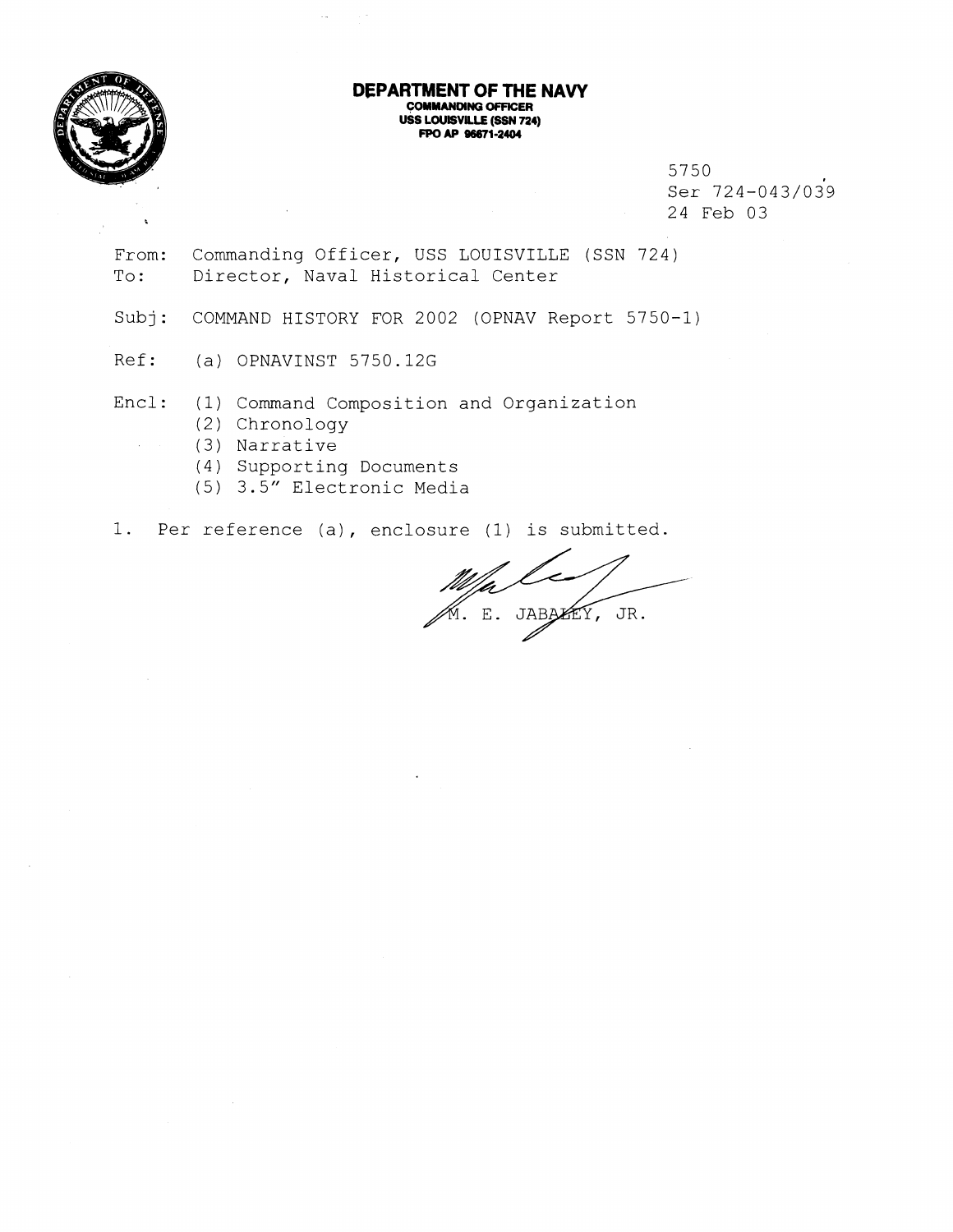

 $\sim$ 

#### **DEPARTMENT OF THE NAVY COMMANMNO OFFICER USS LOUISVILLE (SSN 724) FPO AP 96671-2404**

5750 Ser 724-043/039 24 Feb 03

From: Commanding Officer, USS LOUISVILLE (SSN 724) To: Director, Naval Historical Center

Subj: COMMAND HISTORY FOR 2002 (OPNAV Report 5750-1)

Ref: (a) OPNAVINST 5750.12G

Encl: (1) Command Composition and Organization

(2) Chronology

(3) Narrative

(4) Supporting Documents

(5) 3.5" Electronic Media

1. Per reference (a), enclosure (1) is submitted.

E. JABAKEY, JR.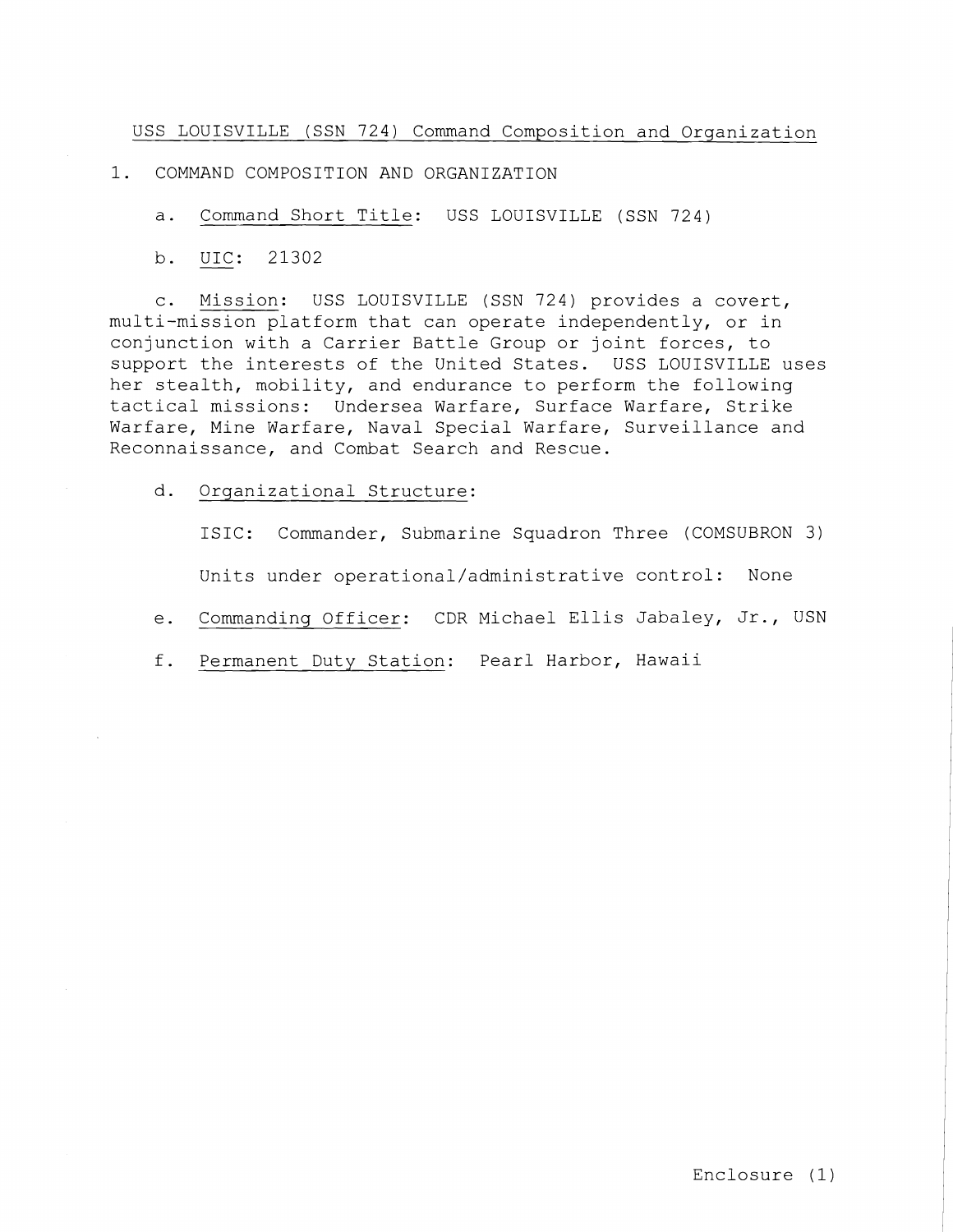USS LOUISVILLE (SSN 724) Command Composition and Organization

1. COMMAND COMPOSITION AND ORGANIZATION

a. Command Short Title: USS LOUISVILLE (SSN 724)

COMMAND COM<br>a. <u>Command</u><br>b. <u>UIC</u>: 2 UIC: 21302

c. Mission: USS LOUISVILLE (SSN 724) provides a covert, multi-mission platform that can operate independently, or in conjunction with a Carrier Battle Group or joint forces, to support the interests of the United States. USS LOUISVILLE uses her stealth, mobility, and endurance to perform the following tactical missions: Undersea Warfare, Surface Warfare, Strike Warfare, Mine Warfare, Naval Special Warfare, Surveillance and Reconnaissance, and Combat Search and Rescue.

d. Organizational Structure:

ISIC: Commander, Submarine Squadron Three (COMSUBRON *3)*  Units under operational/administrative control: None

 $e.$ Commanding Officer: CDR Michael Ellis Jabaley, Jr., USN

f. Permanent Duty Station: Pearl Harbor, Hawaii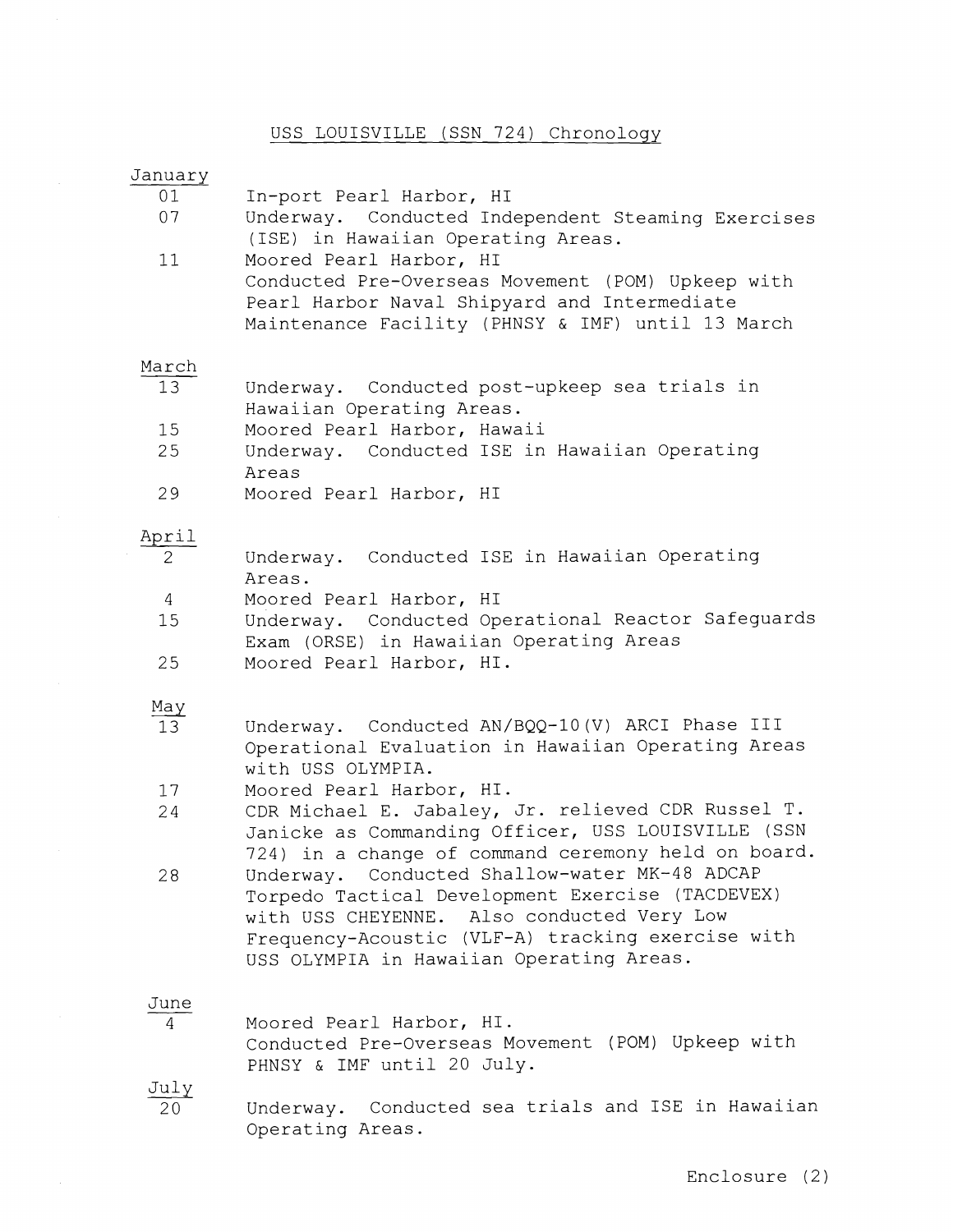# USS LOUISVILLE (SSN 724) Chronology

| January              |                                                                                                                                                                                                                                                  |
|----------------------|--------------------------------------------------------------------------------------------------------------------------------------------------------------------------------------------------------------------------------------------------|
| 01<br>07             | In-port Pearl Harbor, HI<br>Underway. Conducted Independent Steaming Exercises<br>(ISE) in Hawaiian Operating Areas.                                                                                                                             |
| 11                   | Moored Pearl Harbor, HI<br>Conducted Pre-Overseas Movement (POM) Upkeep with<br>Pearl Harbor Naval Shipyard and Intermediate<br>Maintenance Facility (PHNSY & IMF) until 13 March                                                                |
| March                |                                                                                                                                                                                                                                                  |
| 13                   | Underway. Conducted post-upkeep sea trials in<br>Hawaiian Operating Areas.                                                                                                                                                                       |
| 15<br>25             | Moored Pearl Harbor, Hawaii<br>Underway. Conducted ISE in Hawaiian Operating                                                                                                                                                                     |
|                      | Areas                                                                                                                                                                                                                                            |
| 29                   | Moored Pearl Harbor, HI                                                                                                                                                                                                                          |
| April                |                                                                                                                                                                                                                                                  |
| $\overline{2}$       | Underway. Conducted ISE in Hawaiian Operating<br>Areas.                                                                                                                                                                                          |
| $\overline{4}$<br>15 | Moored Pearl Harbor, HI<br>Underway. Conducted Operational Reactor Safeguards                                                                                                                                                                    |
|                      | Exam (ORSE) in Hawaiian Operating Areas                                                                                                                                                                                                          |
| 25                   | Moored Pearl Harbor, HI.                                                                                                                                                                                                                         |
| <u>May</u>           |                                                                                                                                                                                                                                                  |
| 13                   | Underway. Conducted AN/BQQ-10(V) ARCI Phase III<br>Operational Evaluation in Hawaiian Operating Areas<br>with USS OLYMPIA.                                                                                                                       |
| 17                   | Moored Pearl Harbor, HI.                                                                                                                                                                                                                         |
| 24                   | CDR Michael E. Jabaley, Jr. relieved CDR Russel T.<br>Janicke as Commanding Officer, USS LOUISVILLE (SSN<br>724) in a change of command ceremony held on board.                                                                                  |
| 28                   | Underway. Conducted Shallow-water MK-48 ADCAP<br>Torpedo Tactical Development Exercise (TACDEVEX)<br>with USS CHEYENNE. Also conducted Very Low<br>Frequency-Acoustic (VLF-A) tracking exercise with<br>USS OLYMPIA in Hawaiian Operating Areas. |
| June<br>4            | Moored Pearl Harbor, HI.                                                                                                                                                                                                                         |
|                      | Conducted Pre-Overseas Movement (POM) Upkeep with<br>PHNSY & IMF until 20 July.                                                                                                                                                                  |
| July<br>20           | Conducted sea trials and ISE in Hawaiian<br>Underway.<br>Operating Areas.                                                                                                                                                                        |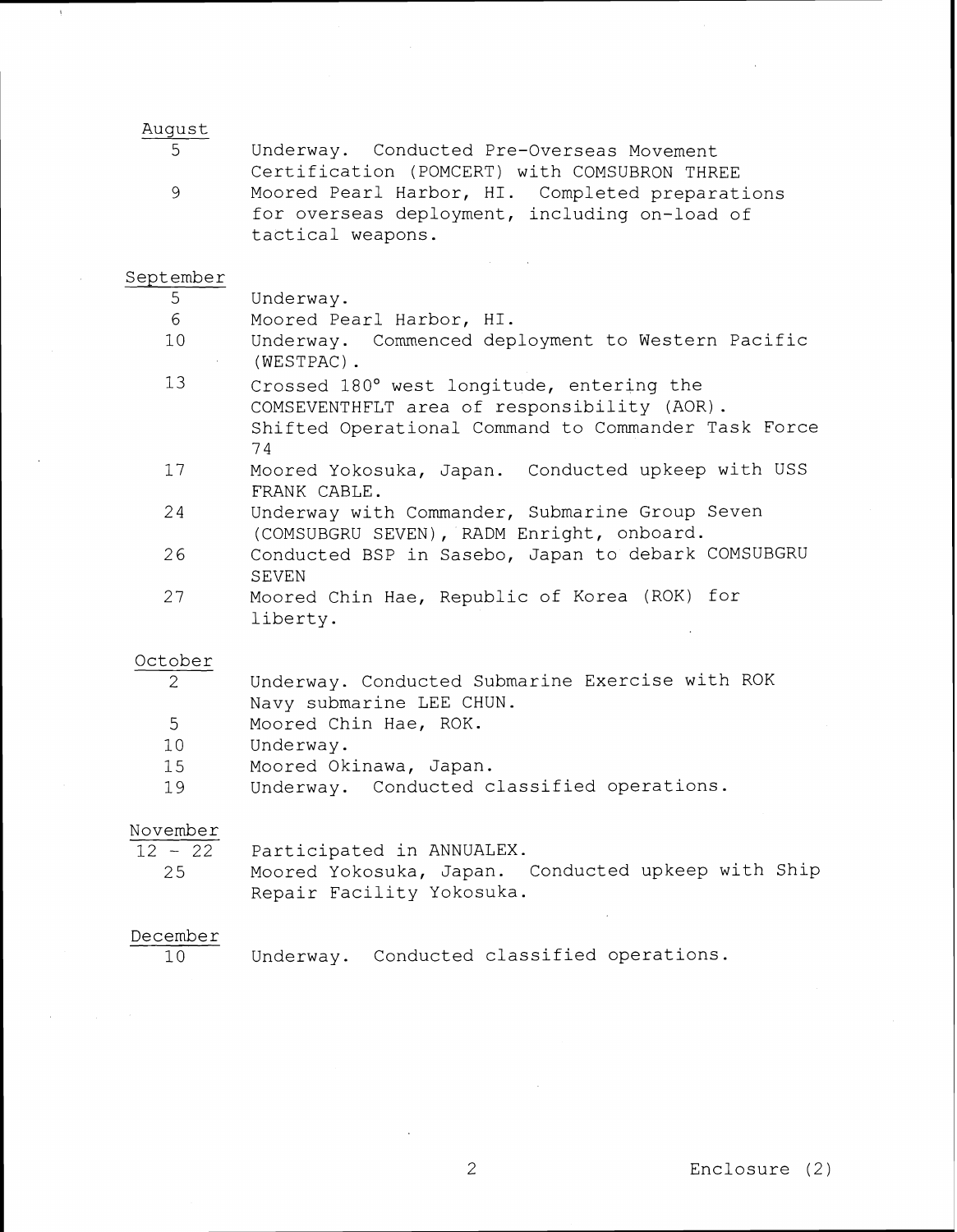#### August

| 5  | Underway. Conducted Pre-Overseas Movement       |
|----|-------------------------------------------------|
|    | Certification (POMCERT) with COMSUBRON THREE    |
| -9 | Moored Pearl Harbor, HI. Completed preparations |
|    | for overseas deployment, including on-load of   |
|    | tactical weapons.                               |

#### September

5 Underway.

- 6 Moored Pearl Harbor, HI.
- 10 Underway. Commenced deployment to Western Pacific (WESTPAC) .
- 13 Crossed 180' west longitude, entering the COMSEVENTHFLT area of responsibility (AOR). Shifted Operational Command to Commander Task Force 7 4
- $17$ Moored Yokosuka, Japan. Conducted upkeep with USS FRANK CABLE.
- 24 Underway with Commander, Submarine Group Seven (COMSUBGRU SEVEN), RADM Enright, onboard.
- Conducted BSP in Sasebo, Japan to debark COMSUBGRU 26 SEVEN
- 27 Moored Chin Hae, Republic of Korea (ROK) for liberty.

#### October

- 2 Underway. Conducted Submarine Exercise with ROK Navy submarine LEE CHUN.
- 5 Moored Chin Hae, ROK.
- $10$ Underway.
- 15 Moored Okinawa, Japan.
- 19 Underway. Conducted classified operations.

## November

 $12 - 22$ 

Participated in ANNUALEX.

25 Moored Yokosuka, Japan. Conducted upkeep with Ship Repair Facility Yokosuka.

#### December

10

Underway. Conducted classified operations.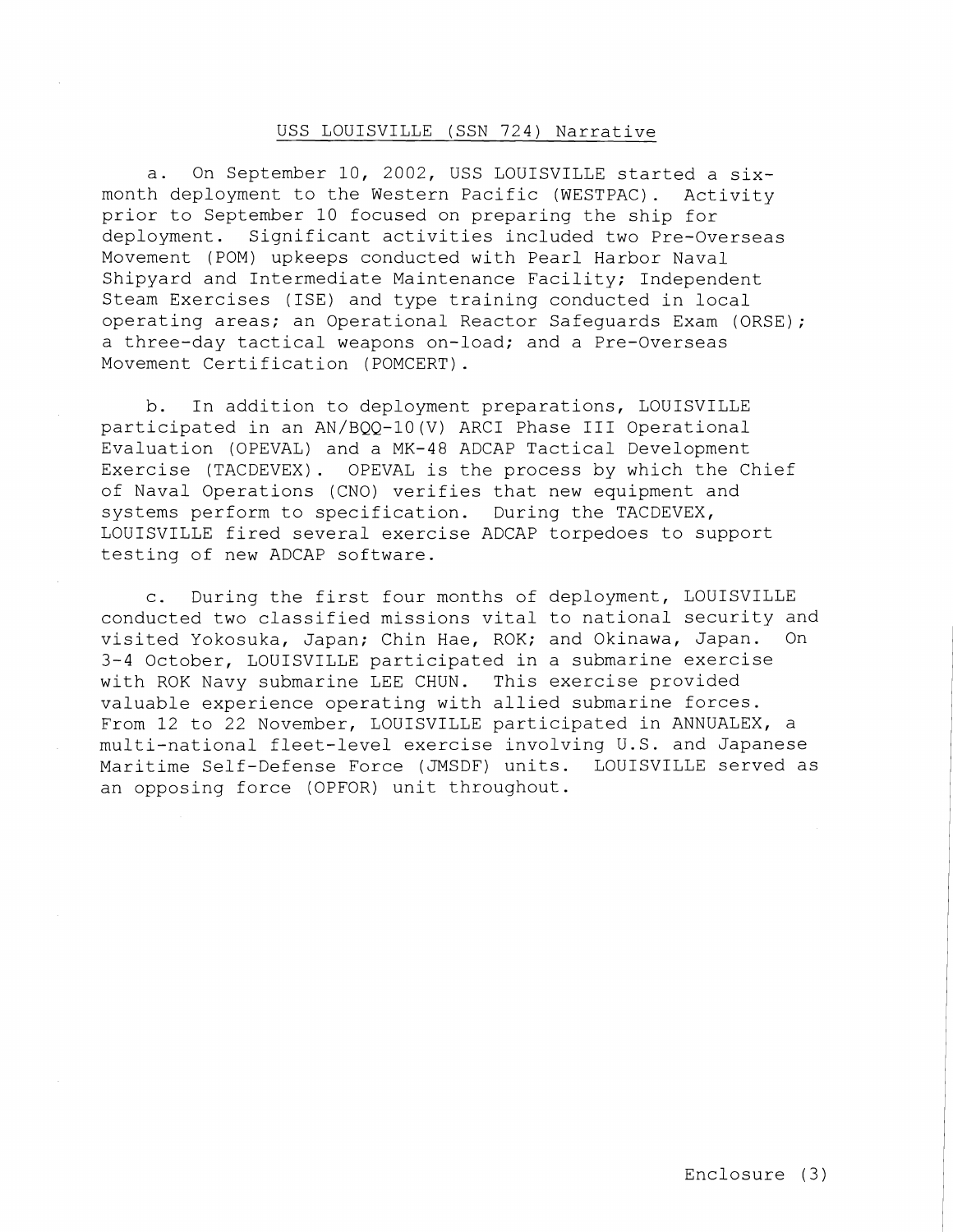### USS LOUISVILLE (SSN 724) Narrative

a. On September 10, 2002, USS LOUISVILLE started a sixmonth deployment to the Western Pacific (WESTPAC) . Activity prior to September 10 focused on preparing the ship for deployment. Significant activities included two Pre-Overseas Movement (POM) upkeeps conducted with Pearl Harbor Naval Shipyard and Intermediate Maintenance Facility; Independent Steam Exercises (ISE) and type training conducted in local operating areas; an Operational Reactor Safeguards Exam (ORSE); a three-day tactical weapons on-load; and a Pre-Overseas Movement Certification (POMCERT) .

b. In addition to deployment preparations, LOUISVILLE participated in an AN/BQQ-lO(V) ARC1 Phase 111 Operational Evaluation (OPEVAL) and a MK-48 ADCAP Tactical Development Exercise (TACDEVEX). OPEVAL is the process by which the Chief of Naval Operations (CNO) verifies that new equipment and systems perform to specification. During the TACDEVEX, LOUISVILLE fired several exercise ADCAP torpedoes to support testing of new ADCAP software.

c. During the first four months of deployment, LOUISVILLE conducted two classified missions vital to national security and visited Yokosuka, Japan; Chin Hae, ROK; and Okinawa, Japan. On 3-4 October, LOUISVILLE participated in a submarine exercise with ROK Navy submarine LEE CHUN. This exercise provided valuable experience operating with allied submarine forces. From 12 to 22 November, LOUISVILLE participated in ANNUALEX, a multi-national fleet-level exercise involving U.S. and Japanese Maritime Self-Defense Force (JMSDF) units. LOUISVILLE served as an opposing force (OPFOR) unit throughout.